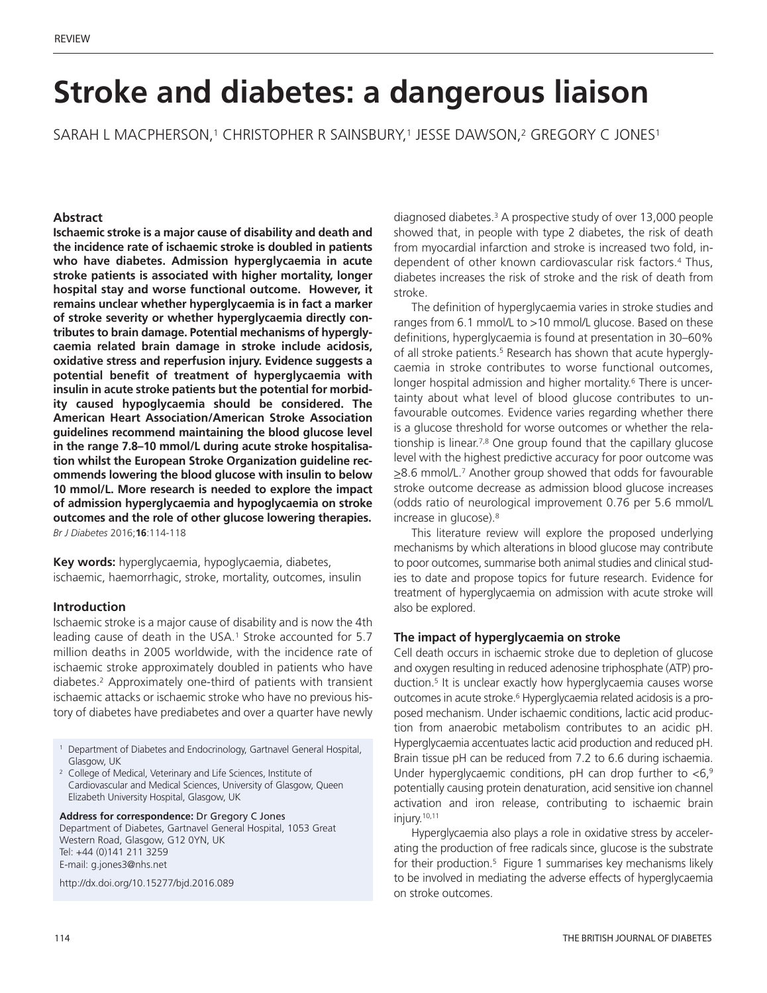# **Stroke and diabetes: a dangerous liaison**

SARAH L MACPHERSON, <sup>1</sup> CHRISTOPHER R SAINSBURY, <sup>1</sup> JESSE DAWSON, <sup>2</sup> GREGORY C JONES1

## **Abstract**

**Ischaemic stroke is a major cause of disability and death and the incidence rate of ischaemic stroke is doubled in patients who have diabetes. Admission hyperglycaemia in acute stroke patients is associated with higher mortality, longer hospital stay and worse functional outcome. However, it remains unclear whether hyperglycaemia is in fact a marker of stroke severity or whether hyperglycaemia directly contributes to brain damage. Potential mechanisms of hyperglycaemia related brain damage in stroke include acidosis, oxidative stress and reperfusion injury. Evidence suggests a potential benefit of treatment of hyperglycaemia with insulin in acute stroke patients but the potential for morbidity caused hypoglycaemia should be considered. The American Heart Association/American Stroke Association guidelines recommend maintaining the blood glucose level in the range 7.8–10 mmol/L during acute stroke hospitalisation whilst the European Stroke Organization guideline recommends lowering the blood glucose with insulin to below 10 mmol/L. More research is needed to explore the impact of admission hyperglycaemia and hypoglycaemia on stroke outcomes and the role of other glucose lowering therapies.** *Br J Diabetes* 2016;**16**:114-118

**Key words:** hyperglycaemia, hypoglycaemia, diabetes, ischaemic, haemorrhagic, stroke, mortality, outcomes, insulin

#### **Introduction**

Ischaemic stroke is a major cause of disability and is now the 4th leading cause of death in the USA. <sup>1</sup> Stroke accounted for 5.7 million deaths in 2005 worldwide, with the incidence rate of ischaemic stroke approximately doubled in patients who have diabetes.2 Approximately one-third of patients with transient ischaemic attacks or ischaemic stroke who have no previous history of diabetes have prediabetes and over a quarter have newly

<sup>1</sup> Department of Diabetes and Endocrinology, Gartnavel General Hospital, Glasgow, UK

<sup>2</sup> College of Medical, Veterinary and Life Sciences, Institute of Cardiovascular and Medical Sciences, University of Glasgow, Queen Elizabeth University Hospital, Glasgow, UK

**Address for correspondence:** Dr Gregory C Jones Department of Diabetes, Gartnavel General Hospital, 1053 Great Western Road, Glasgow, G12 0YN, UK Tel: +44 (0)141 211 3259 E-mail: g.jones3@nhs.net

http://dx.doi.org/10.15277/bjd.2016.089

diagnosed diabetes. <sup>3</sup> A prospective study of over 13,000 people showed that, in people with type 2 diabetes, the risk of death from myocardial infarction and stroke is increased two fold, independent of other known cardiovascular risk factors.4 Thus, diabetes increases the risk of stroke and the risk of death from stroke.

The definition of hyperglycaemia varies in stroke studies and ranges from 6.1 mmol/L to >10 mmol/L glucose. Based on these definitions, hyperglycaemia is found at presentation in 30–60% of all stroke patients. <sup>5</sup> Research has shown that acute hyperglycaemia in stroke contributes to worse functional outcomes, longer hospital admission and higher mortality. <sup>6</sup> There is uncertainty about what level of blood glucose contributes to unfavourable outcomes. Evidence varies regarding whether there is a glucose threshold for worse outcomes or whether the relationship is linear. 7,8 One group found that the capillary glucose level with the highest predictive accuracy for poor outcome was >8.6 mmol/L. <sup>7</sup> Another group showed that odds for favourable stroke outcome decrease as admission blood glucose increases (odds ratio of neurological improvement 0.76 per 5.6 mmol/L increase in glucose). 8

This literature review will explore the proposed underlying mechanisms by which alterations in blood glucose may contribute to poor outcomes, summarise both animal studies and clinical studies to date and propose topics for future research. Evidence for treatment of hyperglycaemia on admission with acute stroke will also be explored.

#### **The impact of hyperglycaemia on stroke**

Cell death occurs in ischaemic stroke due to depletion of glucose and oxygen resulting in reduced adenosine triphosphate (ATP) production. <sup>5</sup> It is unclear exactly how hyperglycaemia causes worse outcomes in acute stroke. <sup>6</sup> Hyperglycaemia related acidosis is a proposed mechanism. Under ischaemic conditions, lactic acid production from anaerobic metabolism contributes to an acidic pH. Hyperglycaemia accentuates lactic acid production and reduced pH. Brain tissue pH can be reduced from 7.2 to 6.6 during ischaemia. Under hyperglycaemic conditions, pH can drop further to  $<$ 6,<sup>9</sup> potentially causing protein denaturation, acid sensitive ion channel activation and iron release, contributing to ischaemic brain injury. 10,11

Hyperglycaemia also plays a role in oxidative stress by accelerating the production of free radicals since, glucose is the substrate for their production. <sup>5</sup> Figure 1 summarises key mechanisms likely to be involved in mediating the adverse effects of hyperglycaemia on stroke outcomes.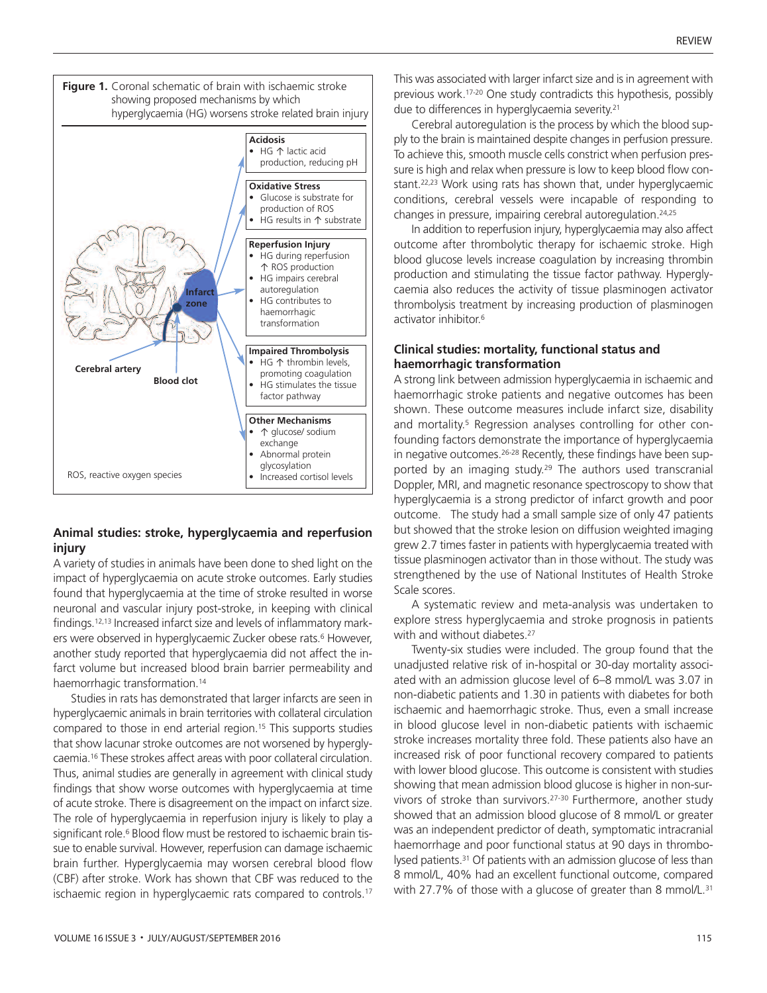

#### **Animal studies: stroke, hyperglycaemia and reperfusion injury**

A variety of studies in animals have been done to shed light on the impact of hyperglycaemia on acute stroke outcomes. Early studies found that hyperglycaemia at the time of stroke resulted in worse neuronal and vascular injury post-stroke, in keeping with clinical findings. 12,13 Increased infarct size and levels of inflammatory markers were observed in hyperglycaemic Zucker obese rats. <sup>6</sup> However, another study reported that hyperglycaemia did not affect the infarct volume but increased blood brain barrier permeability and haemorrhagic transformation. 14

Studies in rats has demonstrated that larger infarcts are seen in hyperglycaemic animals in brain territories with collateral circulation compared to those in end arterial region. <sup>15</sup> This supports studies that show lacunar stroke outcomes are not worsened by hyperglycaemia. <sup>16</sup> These strokes affect areas with poor collateral circulation. Thus, animal studies are generally in agreement with clinical study findings that show worse outcomes with hyperglycaemia at time of acute stroke. There is disagreement on the impact on infarct size. The role of hyperglycaemia in reperfusion injury is likely to play a significant role. <sup>6</sup> Blood flow must be restored to ischaemic brain tissue to enable survival. However, reperfusion can damage ischaemic brain further. Hyperglycaemia may worsen cerebral blood flow (CBF) after stroke. Work has shown that CBF was reduced to the ischaemic region in hyperglycaemic rats compared to controls. 17

This was associated with larger infarct size and is in agreement with previous work. 17-20 One study contradicts this hypothesis, possibly due to differences in hyperglycaemia severity. 21

Cerebral autoregulation is the process by which the blood supply to the brain is maintained despite changes in perfusion pressure. To achieve this, smooth muscle cells constrict when perfusion pressure is high and relax when pressure is low to keep blood flow constant. 22,23 Work using rats has shown that, under hyperglycaemic conditions, cerebral vessels were incapable of responding to changes in pressure, impairing cerebral autoregulation. 24,25

In addition to reperfusion injury, hyperglycaemia may also affect outcome after thrombolytic therapy for ischaemic stroke. High blood glucose levels increase coagulation by increasing thrombin production and stimulating the tissue factor pathway. Hyperglycaemia also reduces the activity of tissue plasminogen activator thrombolysis treatment by increasing production of plasminogen activator inhibitor. 6

#### **Clinical studies: mortality, functional status and haemorrhagic transformation**

A strong link between admission hyperglycaemia in ischaemic and haemorrhagic stroke patients and negative outcomes has been shown. These outcome measures include infarct size, disability and mortality.<sup>5</sup> Regression analyses controlling for other confounding factors demonstrate the importance of hyperglycaemia in negative outcomes.<sup>26-28</sup> Recently, these findings have been supported by an imaging study.29 The authors used transcranial Doppler, MRI, and magnetic resonance spectroscopy to show that hyperglycaemia is a strong predictor of infarct growth and poor outcome. The study had a small sample size of only 47 patients but showed that the stroke lesion on diffusion weighted imaging grew 2.7 times faster in patients with hyperglycaemia treated with tissue plasminogen activator than in those without. The study was strengthened by the use of National Institutes of Health Stroke Scale scores.

A systematic review and meta-analysis was undertaken to explore stress hyperglycaemia and stroke prognosis in patients with and without diabetes.<sup>27</sup>

Twenty-six studies were included. The group found that the unadjusted relative risk of in-hospital or 30-day mortality associated with an admission glucose level of 6–8 mmol/L was 3.07 in non-diabetic patients and 1.30 in patients with diabetes for both ischaemic and haemorrhagic stroke. Thus, even a small increase in blood glucose level in non-diabetic patients with ischaemic stroke increases mortality three fold. These patients also have an increased risk of poor functional recovery compared to patients with lower blood glucose. This outcome is consistent with studies showing that mean admission blood glucose is higher in non-survivors of stroke than survivors.27-30 Furthermore, another study showed that an admission blood glucose of 8 mmol/L or greater was an independent predictor of death, symptomatic intracranial haemorrhage and poor functional status at 90 days in thrombolysed patients.<sup>31</sup> Of patients with an admission glucose of less than 8 mmol/L, 40% had an excellent functional outcome, compared with 27.7% of those with a glucose of greater than 8 mmol/L.<sup>31</sup>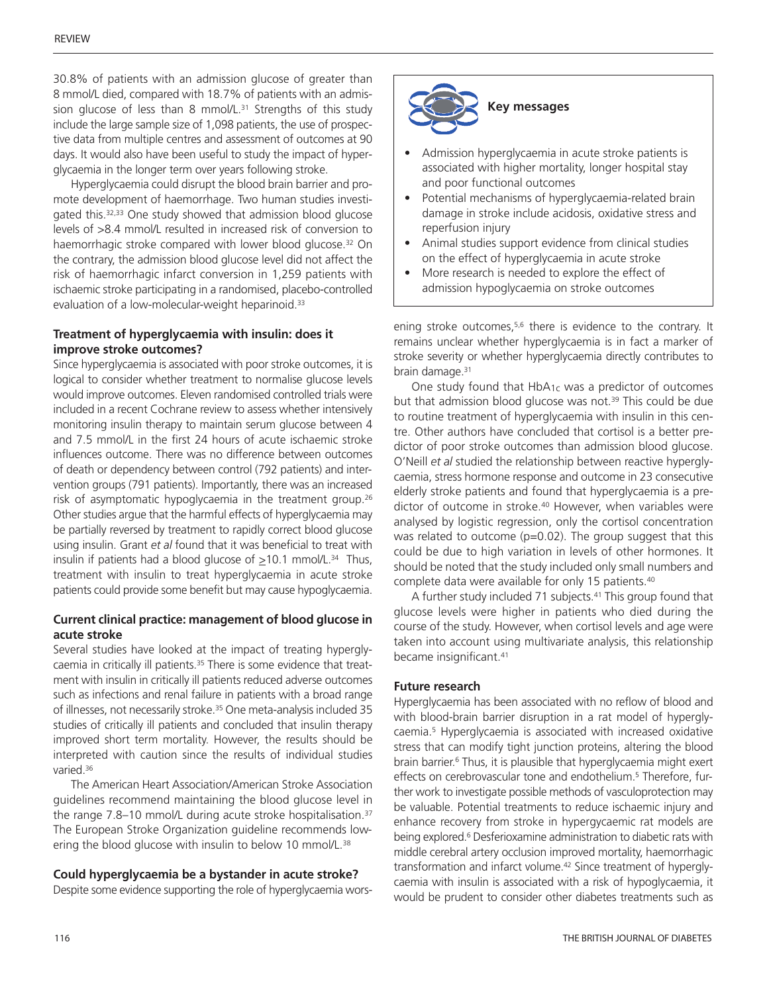30.8% of patients with an admission glucose of greater than 8 mmol/L died, compared with 18.7% of patients with an admission glucose of less than 8 mmol/L. <sup>31</sup> Strengths of this study include the large sample size of 1,098 patients, the use of prospective data from multiple centres and assessment of outcomes at 90 days. It would also have been useful to study the impact of hyperglycaemia in the longer term over years following stroke.

Hyperglycaemia could disrupt the blood brain barrier and promote development of haemorrhage. Two human studies investigated this. 32,33 One study showed that admission blood glucose levels of >8.4 mmol/L resulted in increased risk of conversion to haemorrhagic stroke compared with lower blood glucose. <sup>32</sup> On the contrary, the admission blood glucose level did not affect the risk of haemorrhagic infarct conversion in 1,259 patients with ischaemic stroke participating in a randomised, placebo-controlled evaluation of a low-molecular-weight heparinoid.<sup>33</sup>

#### **Treatment of hyperglycaemia with insulin: does it improve stroke outcomes?**

Since hyperglycaemia is associated with poor stroke outcomes, it is logical to consider whether treatment to normalise glucose levels would improve outcomes. Eleven randomised controlled trials were included in a recent Cochrane review to assess whether intensively monitoring insulin therapy to maintain serum glucose between 4 and 7.5 mmol/L in the first 24 hours of acute ischaemic stroke influences outcome. There was no difference between outcomes of death or dependency between control (792 patients) and intervention groups (791 patients). Importantly, there was an increased risk of asymptomatic hypoglycaemia in the treatment group. 26 Other studies argue that the harmful effects of hyperglycaemia may be partially reversed by treatment to rapidly correct blood glucose using insulin. Grant *et al* found that it was beneficial to treat with insulin if patients had a blood glucose of  $\geq$ 10.1 mmol/L.<sup>34</sup> Thus, treatment with insulin to treat hyperglycaemia in acute stroke patients could provide some benefit but may cause hypoglycaemia.

## **Current clinical practice: management of blood glucose in acute stroke**

Several studies have looked at the impact of treating hyperglycaemia in critically ill patients. <sup>35</sup> There is some evidence that treatment with insulin in critically ill patients reduced adverse outcomes such as infections and renal failure in patients with a broad range of illnesses, not necessarily stroke. <sup>35</sup> One meta-analysis included 35 studies of critically ill patients and concluded that insulin therapy improved short term mortality. However, the results should be interpreted with caution since the results of individual studies varied. 36

The American Heart Association/American Stroke Association guidelines recommend maintaining the blood glucose level in the range 7.8–10 mmol/L during acute stroke hospitalisation. 37 The European Stroke Organization guideline recommends lowering the blood glucose with insulin to below 10 mmol/L.<sup>38</sup>

### **Could hyperglycaemia be a bystander in acute stroke?**

Despite some evidence supporting the role of hyperglycaemia wors-



- Admission hyperglycaemia in acute stroke patients is associated with higher mortality, longer hospital stay and poor functional outcomes
- Potential mechanisms of hyperglycaemia-related brain damage in stroke include acidosis, oxidative stress and reperfusion injury
- Animal studies support evidence from clinical studies on the effect of hyperglycaemia in acute stroke
- More research is needed to explore the effect of admission hypoglycaemia on stroke outcomes

ening stroke outcomes, 5,6 there is evidence to the contrary. It remains unclear whether hyperglycaemia is in fact a marker of stroke severity or whether hyperglycaemia directly contributes to brain damage. 31

One study found that HbA<sub>1c</sub> was a predictor of outcomes but that admission blood glucose was not. <sup>39</sup> This could be due to routine treatment of hyperglycaemia with insulin in this centre. Other authors have concluded that cortisol is a better predictor of poor stroke outcomes than admission blood glucose. O'Neill *et al* studied the relationship between reactive hyperglycaemia, stress hormone response and outcome in 23 consecutive elderly stroke patients and found that hyperglycaemia is a predictor of outcome in stroke.40 However, when variables were analysed by logistic regression, only the cortisol concentration was related to outcome (p=0.02). The group suggest that this could be due to high variation in levels of other hormones. It should be noted that the study included only small numbers and complete data were available for only 15 patients.<sup>40</sup>

A further study included 71 subjects. <sup>41</sup> This group found that glucose levels were higher in patients who died during the course of the study. However, when cortisol levels and age were taken into account using multivariate analysis, this relationship became insignificant. 41

#### **Future research**

Hyperglycaemia has been associated with no reflow of blood and with blood-brain barrier disruption in a rat model of hyperglycaemia. <sup>5</sup> Hyperglycaemia is associated with increased oxidative stress that can modify tight junction proteins, altering the blood brain barrier. <sup>6</sup> Thus, it is plausible that hyperglycaemia might exert effects on cerebrovascular tone and endothelium. <sup>5</sup> Therefore, further work to investigate possible methods of vasculoprotection may be valuable. Potential treatments to reduce ischaemic injury and enhance recovery from stroke in hypergycaemic rat models are being explored. <sup>6</sup> Desferioxamine administration to diabetic rats with middle cerebral artery occlusion improved mortality, haemorrhagic transformation and infarct volume. <sup>42</sup> Since treatment of hyperglycaemia with insulin is associated with a risk of hypoglycaemia, it would be prudent to consider other diabetes treatments such as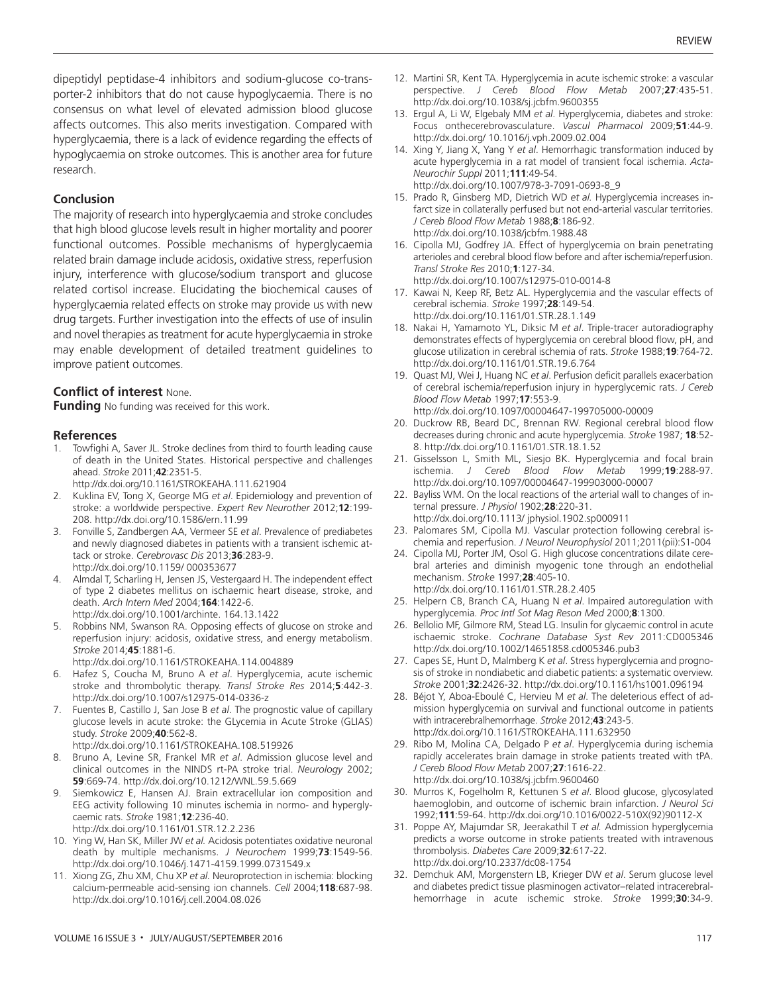dipeptidyl peptidase-4 inhibitors and sodium-glucose co-transporter-2 inhibitors that do not cause hypoglycaemia. There is no consensus on what level of elevated admission blood glucose affects outcomes. This also merits investigation. Compared with hyperglycaemia, there is a lack of evidence regarding the effects of hypoglycaemia on stroke outcomes. This is another area for future research.

#### **Conclusion**

The majority of research into hyperglycaemia and stroke concludes that high blood glucose levels result in higher mortality and poorer functional outcomes. Possible mechanisms of hyperglycaemia related brain damage include acidosis, oxidative stress, reperfusion injury, interference with glucose/sodium transport and glucose related cortisol increase. Elucidating the biochemical causes of hyperglycaemia related effects on stroke may provide us with new drug targets. Further investigation into the effects of use of insulin and novel therapies as treatment for acute hyperglycaemia in stroke may enable development of detailed treatment guidelines to improve patient outcomes.

#### **Conflict of interest** None.

**Funding** No funding was received for this work.

#### **References**

- Towfighi A, Saver JL. Stroke declines from third to fourth leading cause of death in the United States. Historical perspective and challenges ahead. *Stroke* 2011;**42**:2351-5.
- http://dx.doi.org/10.1161/STROKEAHA.111.621904
- 2. Kuklina EV, Tong X, George MG *et al*. Epidemiology and prevention of stroke: a worldwide perspective. *Expert Rev Neurother* 2012;**12**:199- 208. http://dx.doi.org/10.1586/ern.11.99
- 3. Fonville S, Zandbergen AA, Vermeer SE *et al*. Prevalence of prediabetes and newly diagnosed diabetes in patients with a transient ischemic attack or stroke. *Cerebrovasc Dis* 2013;**36**:283-9. http://dx.doi.org/10.1159/ 000353677
- 4. Almdal T, Scharling H, Jensen JS, Vestergaard H. The independent effect of type 2 diabetes mellitus on ischaemic heart disease, stroke, and death. *Arch Intern Med* 2004;**164**:1422-6. http://dx.doi.org/10.1001/archinte. 164.13.1422
- 5. Robbins NM, Swanson RA. Opposing effects of glucose on stroke and reperfusion injury: acidosis, oxidative stress, and energy metabolism. *Stroke* 2014;**45**:1881-6.

http://dx.doi.org/10.1161/STROKEAHA.114.004889

- 6. Hafez S, Coucha M, Bruno A *et al*. Hyperglycemia, acute ischemic stroke and thrombolytic therapy. *Transl Stroke Res* 2014;**5**:442-3. http://dx.doi.org/10.1007/s12975-014-0336-z
- 7. Fuentes B, Castillo J, San Jose B *et al*. The prognostic value of capillary glucose levels in acute stroke: the GLycemia in Acute Stroke (GLIAS) study. *Stroke* 2009;**40**:562-8.

http://dx.doi.org/10.1161/STROKEAHA.108.519926

- 8. Bruno A, Levine SR, Frankel MR *et al*. Admission glucose level and clinical outcomes in the NINDS rt-PA stroke trial. *Neurology* 2002; **59**:669-74. http://dx.doi.org/10.1212/WNL.59.5.669
- 9. Siemkowicz E, Hansen AJ. Brain extracellular ion composition and EEG activity following 10 minutes ischemia in normo- and hyperglycaemic rats. *Stroke* 1981;**12**:236-40. http://dx.doi.org/10.1161/01.STR.12.2.236
- 10. Ying W, Han SK, Miller JW *et al.* Acidosis potentiates oxidative neuronal death by multiple mechanisms. *J Neurochem* 1999;**73**:1549-56. http://dx.doi.org/10.1046/j.1471-4159.1999.0731549.x
- 11. Xiong ZG, Zhu XM, Chu XP *et al.* Neuroprotection in ischemia: blocking calcium-permeable acid-sensing ion channels. *Cell* 2004;**118**:687-98. http://dx.doi.org/10.1016/j.cell.2004.08.026
- 12. Martini SR, Kent TA. Hyperglycemia in acute ischemic stroke: a vascular perspective. *J Cereb Blood Flow Metab* 2007;**27**:435-51. http://dx.doi.org/10.1038/sj.jcbfm.9600355
- 13. Ergul A, Li W, Elgebaly MM *et al*. Hyperglycemia, diabetes and stroke: Focus onthecerebrovasculature. *Vascul Pharmacol* 2009;**51**:44-9. http://dx.doi.org/ 10.1016/j.vph.2009.02.004
- 14. Xing Y, Jiang X, Yang Y *et al*. Hemorrhagic transformation induced by acute hyperglycemia in a rat model of transient focal ischemia. *Acta-Neurochir Suppl* 2011;**111**:49-54. http://dx.doi.org/10.1007/978-3-7091-0693-8\_9
- 15. Prado R, Ginsberg MD, Dietrich WD *et al.* Hyperglycemia increases infarct size in collaterally perfused but not end-arterial vascular territories. *J Cereb Blood Flow Metab* 1988;**8**:186-92. http://dx.doi.org/10.1038/jcbfm.1988.48
- 16. Cipolla MJ, Godfrey JA. Effect of hyperglycemia on brain penetrating arterioles and cerebral blood flow before and after ischemia/reperfusion. *Transl Stroke Res* 2010;**1**:127-34. http://dx.doi.org/10.1007/s12975-010-0014-8
- 17. Kawai N, Keep RF, Betz AL. Hyperglycemia and the vascular effects of cerebral ischemia. *Stroke* 1997;**28**:149-54. http://dx.doi.org/10.1161/01.STR.28.1.149
- 18. Nakai H, Yamamoto YL, Diksic M *et al*. Triple-tracer autoradiography demonstrates effects of hyperglycemia on cerebral blood flow, pH, and glucose utilization in cerebral ischemia of rats. *Stroke* 1988;**19**:764-72. http://dx.doi.org/10.1161/01.STR.19.6.764
- 19. Quast MJ, Wei J, Huang NC *et al*. Perfusion deficit parallels exacerbation of cerebral ischemia/reperfusion injury in hyperglycemic rats. *J Cereb Blood Flow Metab* 1997;**17**:553-9. http://dx.doi.org/10.1097/00004647-199705000-00009
- 20. Duckrow RB, Beard DC, Brennan RW. Regional cerebral blood flow decreases during chronic and acute hyperglycemia. *Stroke* 1987; **18**:52-
- 8. http://dx.doi.org/10.1161/01.STR.18.1.52 21. Gisselsson L, Smith ML, Siesjo BK. Hyperglycemia and focal brain ischemia. *J Cereb Blood Flow Metab* 1999;**19**:288-97. http://dx.doi.org/10.1097/00004647-199903000-00007
- 22. Bayliss WM. On the local reactions of the arterial wall to changes of internal pressure. *J Physiol* 1902;**28**:220-31. http://dx.doi.org/10.1113/ jphysiol.1902.sp000911
- 23. Palomares SM, Cipolla MJ. Vascular protection following cerebral ischemia and reperfusion. *J Neurol Neurophysiol* 2011;2011(pii):S1-004
- 24. Cipolla MJ, Porter JM, Osol G. High glucose concentrations dilate cerebral arteries and diminish myogenic tone through an endothelial mechanism. *Stroke* 1997;**28**:405-10. http://dx.doi.org/10.1161/01.STR.28.2.405
- 25. Helpern CB, Branch CA, Huang N *et al*. Impaired autoregulation with hyperglycemia. *Proc Intl Sot Mag Reson Med* 2000;**8**:1300.
- 26. Bellolio MF, Gilmore RM, Stead LG. Insulin for glycaemic control in acute ischaemic stroke. *Cochrane Database Syst Rev* 2011:CD005346 http://dx.doi.org/10.1002/14651858.cd005346.pub3
- 27. Capes SE, Hunt D, Malmberg K *et al*. Stress hyperglycemia and prognosis of stroke in nondiabetic and diabetic patients: a systematic overview. *Stroke* 2001;**32**:2426-32. http://dx.doi.org/10.1161/hs1001.096194
- 28. Béjot Y, Aboa-Eboulé C, Hervieu M *et al*. The deleterious effect of admission hyperglycemia on survival and functional outcome in patients with intracerebralhemorrhage. *Stroke* 2012;**43**:243-5. http://dx.doi.org/10.1161/STROKEAHA.111.632950
- 29. Ribo M, Molina CA, Delgado P *et al*. Hyperglycemia during ischemia rapidly accelerates brain damage in stroke patients treated with tPA. *J Cereb Blood Flow Metab* 2007;**27**:1616-22. http://dx.doi.org/10.1038/sj.jcbfm.9600460
- 30. Murros K, Fogelholm R, Kettunen S *et al*. Blood glucose, glycosylated haemoglobin, and outcome of ischemic brain infarction. *J Neurol Sci* 1992;**111**:59-64. http://dx.doi.org/10.1016/0022-510X(92)90112-X
- 31. Poppe AY, Majumdar SR, Jeerakathil T *et al.* Admission hyperglycemia predicts a worse outcome in stroke patients treated with intravenous thrombolysis. *Diabetes Care* 2009;**32**:617-22. http://dx.doi.org/10.2337/dc08-1754
- 32. Demchuk AM, Morgenstern LB, Krieger DW *et al*. Serum glucose level and diabetes predict tissue plasminogen activator–related intracerebralhemorrhage in acute ischemic stroke. *Stroke* 1999;**30**:34-9.